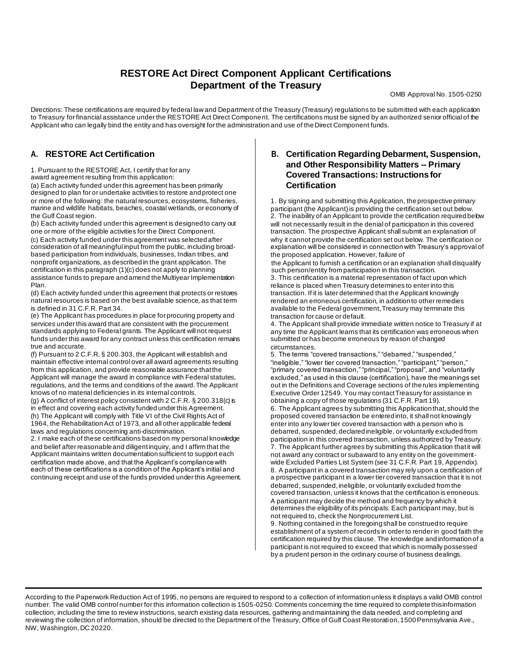# **RESTORE Act Direct Component Applicant Certifications Department of the Treasury**

OMB Approval No. 1505-0250

Directions: These certifications are required by federal law and Department of the Treasury (Treasury) regulations to be submitted with each application to Treasury for financial assistance under the RESTORE Act Direct Component. The certifications must be signed by an authorized senior official of the Applicant who can legally bind the entity and has oversight for the administration and use of the Direct Component funds.

## **A. RESTORE Act Certification**

1. Pursuant to the RESTORE Act, I certify that for any

award agreement resulting from this application:

(a) Each activity funded under this agreement has been primarily designed to plan for or undertake activities to restore and protect one or more of the following: the natural resources, ecosystems, fisheries, marine and wildlife habitats, beaches, coastal wetlands, or economy of the Gulf Coast region.

(b) Each activity funded under this agreement is designed to carry out one or more of the eligible activities for the Direct Component. (c) Each activity funded under this agreement was selected after consideration of all meaningful input from the public, including broadbased participation from individuals, businesses, Indian tribes, and nonprofit organizations, as described in the grant application. The certification in this paragraph (1)(c) does not apply to planning assistance funds to prepare and amend the Multiyear Implementation Plan.

(d) Each activity funded under this agreement that protects or restores natural resources is based on the best available science, as that term is defined in 31 C.F.R. Part 34.

(e) The Applicant has procedures in place for procuring property and services under this award that are consistent with the procurement standards applying to Federal grants. The Applicant will not request funds under this award for any contract unless this certification remains true and accurate.

(f) Pursuant to 2 C.F.R. § 200.303, the Applicant will establish and maintain effective internal control over all award agreements resulting from this application, and provide reasonable assurance that the Applicant will manage the award in compliance with Federal statutes, regulations, and the terms and conditions of the award. The Applicant knows of no material deficiencies in its internal controls.

(g) A conflict of interest policy consistent with 2 C.F.R. § 200.318(c) is in effect and covering each activity funded under this Agreement. (h) The Applicant will comply with Title VI of the Civil Rights Act of 1964, the Rehabilitation Act of 1973, and all other applicable federal laws and regulations concerning anti-discrimination.

2. I make each of these certifications based on my personal knowledge and belief after reasonable and diligent inquiry, and I affirm that the Applicant maintains written documentation sufficient to support each certification made above, and that the Applicant's compliance with each of these certifications is a condition of the Applicant's initial and continuing receipt and use of the funds provided under this Agreement.

### **B. Certification Regarding Debarment, Suspension, and Other Responsibility Matters -- Primary Covered Transactions: Instructions for Certification**

1. By signing and submitting this Application, the prospective primary participant (the Applicant) is providing the certification set out below. 2. The inability of an Applicant to provide the certification required below will not necessarily result in the denial of participation in this covered transaction. The prospective Applicant shall submit an explanation of why it cannot provide the certification set out below. The certification or explanation will be considered in connection with Treasury's approval of the proposed application. However, failure of

the Applicant to furnish a certification or an explanation shall disqualify such person/entity from participation in this transaction.

3. This certification is a material representation of fact upon which reliance is placed when Treasury determines to enter into this transaction. If it is later determined that the Applicant knowingly rendered an erroneous certification, in addition to other remedies available to the Federal government, Treasury may terminate this transaction for cause or default.

4. The Applicant shall provide immediate written notice to Treasury if at any time the Applicant learns that its certification was erroneous when submitted or has become erroneous by reason of changed circumstances.

5. The terms "covered transactions," "debarred," "suspended," "ineligible," "lower tier covered transaction," "participant," "person," "primary covered transaction," "principal," "proposal", and "voluntarily excluded," as used in this clause (certification), have the meanings set out in the Definitions and Coverage sections of the rules implementing Executive Order 12549. You may contact Treasury for assistance in obtaining a copy of those regulations (31 C.F.R. Part 19).

6. The Applicant agrees by submitting this Application that, should the proposed covered transaction be entered into, it shall not knowingly enter into any lower tier covered transaction with a person who is debarred, suspended, declared ineligible, or voluntarily excluded from participation in this covered transaction, unless authorized by Treasury. 7. The Applicant further agrees by submitting this Application that it will not award any contract or subaward to any entity on the governmentwide Excluded Parties List System (see 31 C.F.R. Part 19, Appendix). 8. A participant in a covered transaction may rely upon a certification of a prospective participant in a lower tier covered transaction that it is not debarred, suspended, ineligible, or voluntarily excluded from the covered transaction, unless it knows that the certification is erroneous. A participant may decide the method and frequency by which it determines the eligibility of its principals. Each participant may, but is not required to, check the Nonprocurement List.

9. Nothing contained in the foregoing shall be construed to require establishment of a system of records in order to render in good faith the certification required by this clause. The knowledge and information of a participant is not required to exceed that which is normally possessed by a prudent person in the ordinary course of business dealings.

According to the Paperwork Reduction Act of 1995, no persons are required to respond to a collection of information unless it displays a valid OMB control number. The valid OMB control number for this information collection is 1505-0250. Comments concerning the time required to complete thisinformation collection, including the time to review instructions, search existing data resources, gathering and maintaining the data needed, and completing and reviewing the collection of information, should be directed to the Department of the Treasury, Office of Gulf Coast Restoration, 1500 Pennsylvania Ave., NW, Washington,DC 20220.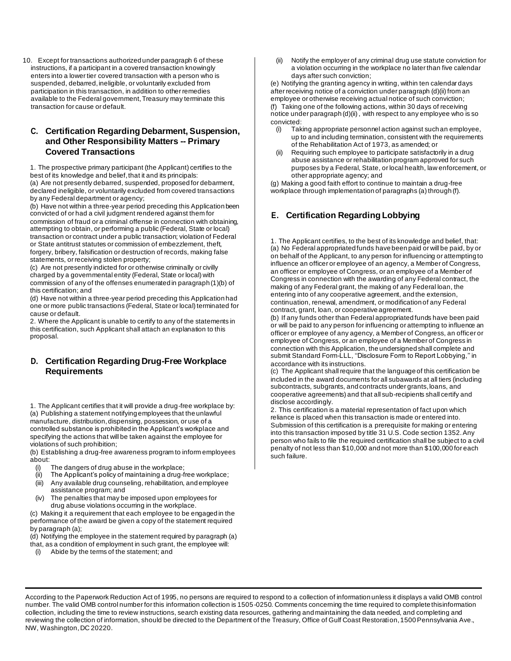10. Except for transactions authorized under paragraph 6 of these instructions, if a participant in a covered transaction knowingly enters into a lower tier covered transaction with a person who is suspended, debarred, ineligible, or voluntarily excluded from participation in this transaction, in addition to other remedies available to the Federal government, Treasury may terminate this transaction for cause or default.

### **C. Certification Regarding Debarment, Suspension, and Other Responsibility Matters -- Primary Covered Transactions**

1. The prospective primary participant (the Applicant) certifies to the best of its knowledge and belief, that it and its principals: (a) Are not presently debarred, suspended, proposed for debarment, declared ineligible, or voluntarily excluded from covered transactions by any Federal department or agency;

(b) Have not within a three-year period preceding this Application been convicted of or had a civil judgment rendered against them for commission of fraud or a criminal offense in connection with obtaining, attempting to obtain, or performing a public (Federal, State or local) transaction or contract under a public transaction; violation of Federal or State antitrust statutes or commission of embezzlement, theft, forgery, bribery, falsification or destruction of records, making false statements, or receiving stolen property;

(c) Are not presently indicted for or otherwise criminally or civilly charged by a governmental entity (Federal, State or local) with commission of any of the offenses enumerated in paragraph (1)(b) of this certification; and

(d) Have not within a three-year period preceding this Application had one or more public transactions (Federal, State or local) terminated for cause or default.

2. Where the Applicant is unable to certify to any of the statements in this certification, such Applicant shall attach an explanation to this proposal.

#### **D. Certification Regarding Drug-Free Workplace Requirements**

1. The Applicant certifies that it will provide a drug-free workplace by: (a) Publishing a statement notifying employees that the unlawful manufacture, distribution, dispensing, possession, or use of a controlled substance is prohibited in the Applicant's workplace and specifying the actions that will be taken against the employee for violations of such prohibition;

(b) Establishing a drug-free awareness program to inform employees about:

- The dangers of drug abuse in the workplace;
- (ii) The Applicant's policy of maintaining a drug-free workplace;
- (iii) Any available drug counseling, rehabilitation, and employee assistance program; and
- (iv) The penalties that may be imposed upon employees for drug abuse violations occurring in the workplace.

(c) Making it a requirement that each employee to be engaged in the performance of the award be given a copy of the statement required by paragraph (a);

(d) Notifying the employee in the statement required by paragraph (a) that, as a condition of employment in such grant, the employee will:

(i) Abide by the terms of the statement; and

(ii) Notify the employer of any criminal drug use statute conviction for a violation occurring in the workplace no later than five calendar days after such conviction;

(e) Notifying the granting agency in writing, within ten calendar days after receiving notice of a conviction under paragraph (d)(ii) from an employee or otherwise receiving actual notice of such conviction;

(f) Taking one of the following actions, within 30 days of receiving notice under paragraph (d)(ii) , with respect to any employee who is so convicted:

- (i) Taking appropriate personnel action against such an employee, up to and including termination, consistent with the requirements of the Rehabilitation Act of 1973, as amended; or
- (ii) Requiring such employee to participate satisfactorily in a drug abuse assistance or rehabilitation program approved for such purposes by a Federal, State, or local health, law enforcement, or other appropriate agency; and

(g) Making a good faith effort to continue to maintain a drug-free workplace through implementation of paragraphs (a) through (f).

## **E. Certification Regarding Lobbying**

1. The Applicant certifies, to the best of its knowledge and belief, that: (a) No Federal appropriated funds have been paid or will be paid, by or on behalf of the Applicant, to any person for influencing or attempting to influence an officer or employee of an agency, a Member of Congress, an officer or employee of Congress, or an employee of a Member of Congress in connection with the awarding of any Federal contract, the making of any Federal grant, the making of any Federal loan, the entering into of any cooperative agreement, and the extension, continuation, renewal, amendment, or modification of any Federal contract, grant, loan, or cooperative agreement.

(b) If any funds other than Federal appropriated funds have been paid or will be paid to any person for influencing or attempting to influence an officer or employee of any agency, a Member of Congress, an officer or employee of Congress, or an employee of a Member of Congress in connection with this Application, the undersigned shall complete and submit Standard Form-LLL, ''Disclosure Form to Report Lobbying,'' in accordance with its instructions.

(c) The Applicant shall require that the language of this certification be included in the award documents for all subawards at all tiers (including subcontracts, subgrants, and contracts under grants, loans, and cooperative agreements) and that all sub-recipients shall certify and disclose accordingly.

2. This certification is a material representation of fact upon which reliance is placed when this transaction is made or entered into. Submission of this certification is a prerequisite for making or entering into this transaction imposed by title 31 U.S. Code section 1352. Any person who fails to file the required certification shall be subject to a civil penalty of not less than \$10,000 and not more than \$100,000 for each such failure.

According to the Paperwork Reduction Act of 1995, no persons are required to respond to a collection of information unless it displays a valid OMB control number. The valid OMB control number for this information collection is 1505-0250. Comments concerning the time required to complete thisinformation collection, including the time to review instructions, search existing data resources, gathering and maintaining the data needed, and completing and reviewing the collection of information, should be directed to the Department of the Treasury, Office of Gulf Coast Restoration, 1500Pennsylvania Ave., NW, Washington,DC 20220.